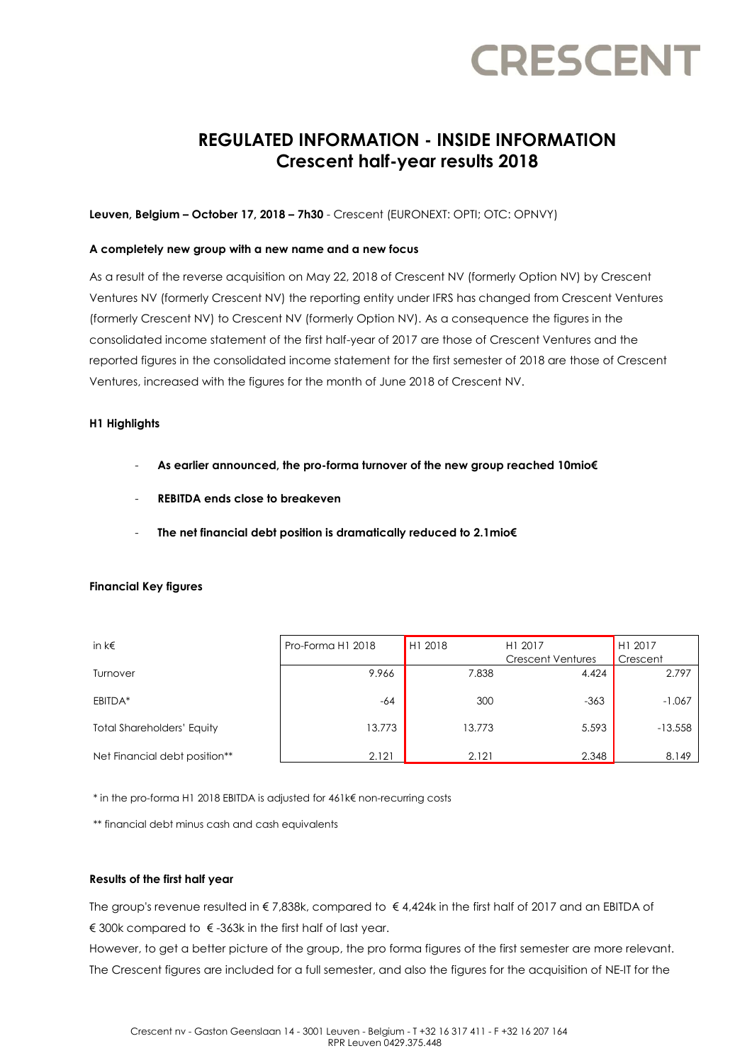### **REGULATED INFORMATION - INSIDE INFORMATION Crescent half-year results 2018**

### **Leuven, Belgium – October 17, 2018 – 7h30** - Crescent (EURONEXT: OPTI; OTC: OPNVY)

### **A completely new group with a new name and a new focus**

As a result of the reverse acquisition on May 22, 2018 of Crescent NV (formerly Option NV) by Crescent Ventures NV (formerly Crescent NV) the reporting entity under IFRS has changed from Crescent Ventures (formerly Crescent NV) to Crescent NV (formerly Option NV). As a consequence the figures in the consolidated income statement of the first half-year of 2017 are those of Crescent Ventures and the reported figures in the consolidated income statement for the first semester of 2018 are those of Crescent Ventures, increased with the figures for the month of June 2018 of Crescent NV.

### **H1 Highlights**

- **As earlier announced, the pro-forma turnover of the new group reached 10mio€**
- **REBITDA ends close to breakeven**
- **The net financial debt position is dramatically reduced to 2.1mio€**

### **Financial Key figures**

| in $k \in$                        | Pro-Forma H1 2018 | H1 2018 | H1 2017<br><b>Crescent Ventures</b> | H1 2017<br>Crescent |
|-----------------------------------|-------------------|---------|-------------------------------------|---------------------|
| Turnover                          | 9.966             | 7.838   | 4.424                               | 2.797               |
| EBITDA*                           | $-64$             | 300     | $-363$                              | $-1.067$            |
| <b>Total Shareholders' Equity</b> | 13.773            | 13.773  | 5.593                               | $-13.558$           |
| Net Financial debt position**     | 2.121             | 2.121   | 2.348                               | 8.149               |

\* in the pro-forma H1 2018 EBITDA is adjusted for 461k€ non-recurring costs

\*\* financial debt minus cash and cash equivalents

### **Results of the first half year**

The group's revenue resulted in € 7,838k, compared to € 4,424k in the first half of 2017 and an EBITDA of € 300k compared to  $∈$  -363k in the first half of last year.

However, to get a better picture of the group, the pro forma figures of the first semester are more relevant. The Crescent figures are included for a full semester, and also the figures for the acquisition of NE-IT for the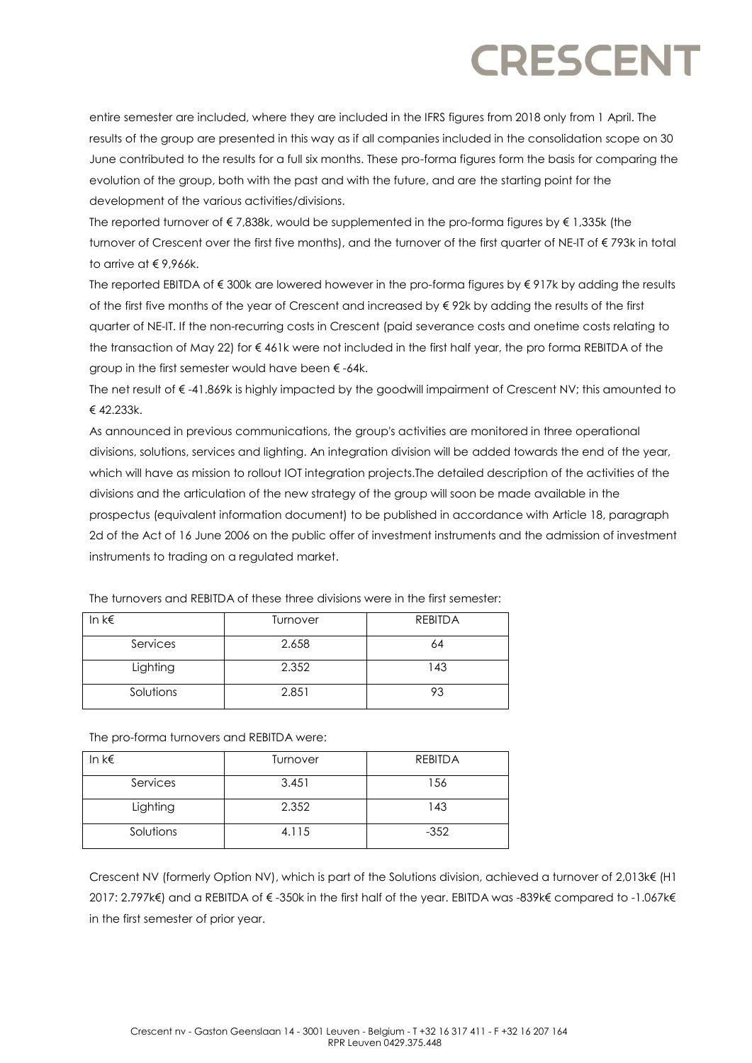entire semester are included, where they are included in the IFRS figures from 2018 only from 1 April. The results of the group are presented in this way as if all companies included in the consolidation scope on 30 June contributed to the results for a full six months. These pro-forma figures form the basis for comparing the evolution of the group, both with the past and with the future, and are the starting point for the development of the various activities/divisions.

The reported turnover of  $\epsilon$  7,838k, would be supplemented in the pro-forma figures by  $\epsilon$  1,335k (the turnover of Crescent over the first five months), and the turnover of the first quarter of NE-IT of € 793k in total to arrive at € 9,966k.

The reported EBITDA of € 300k are lowered however in the pro-forma figures by € 917k by adding the results of the first five months of the year of Crescent and increased by  $\epsilon$  92k by adding the results of the first quarter of NE-IT. If the non-recurring costs in Crescent (paid severance costs and onetime costs relating to the transaction of May 22) for € 461k were not included in the first half year, the pro forma REBITDA of the group in the first semester would have been  $\epsilon$ -64k.

The net result of € -41.869k is highly impacted by the goodwill impairment of Crescent NV; this amounted to € 42.233k.

As announced in previous communications, the group's activities are monitored in three operational divisions, solutions, services and lighting. An integration division will be added towards the end of the year, which will have as mission to rollout IOT integration projects.The detailed description of the activities of the divisions and the articulation of the new strategy of the group will soon be made available in the prospectus (equivalent information document) to be published in accordance with Article 18, paragraph 2d of the Act of 16 June 2006 on the public offer of investment instruments and the admission of investment instruments to trading on a regulated market.

| In $k \in$ | Turnover | <b>REBITDA</b> |
|------------|----------|----------------|
| Services   | 2.658    | 64             |
| Lighting   | 2.352    | 143            |
| Solutions  | 2.851    | 93             |

The turnovers and REBITDA of these three divisions were in the first semester:

The pro-forma turnovers and REBITDA were:

| In $k \in$ | Turnover | <b>REBITDA</b> |
|------------|----------|----------------|
| Services   | 3.451    | 156            |
| Lighting   | 2.352    | 143            |
| Solutions  | 4.115    | $-352$         |

Crescent NV (formerly Option NV), which is part of the Solutions division, achieved a turnover of 2,013k€ (H1 2017: 2.797k€) and a REBITDA of € -350k in the first half of the year. EBITDA was -839k€ compared to -1.067k€ in the first semester of prior year.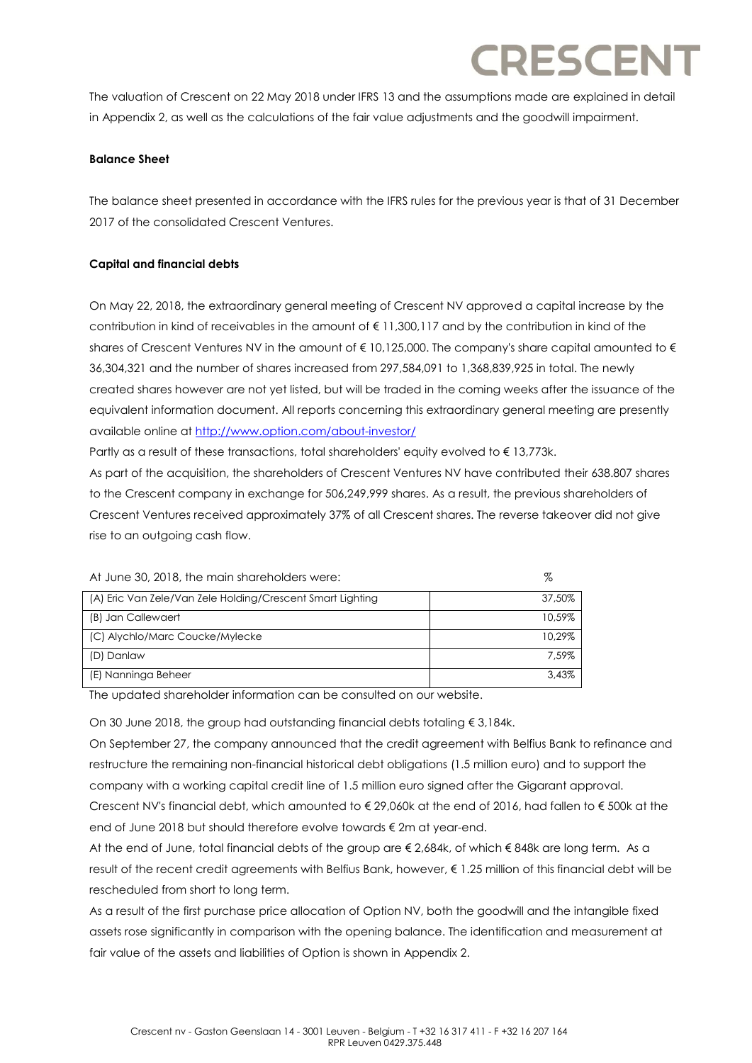The valuation of Crescent on 22 May 2018 under IFRS 13 and the assumptions made are explained in detail in Appendix 2, as well as the calculations of the fair value adjustments and the goodwill impairment.

### **Balance Sheet**

The balance sheet presented in accordance with the IFRS rules for the previous year is that of 31 December 2017 of the consolidated Crescent Ventures.

### **Capital and financial debts**

On May 22, 2018, the extraordinary general meeting of Crescent NV approved a capital increase by the contribution in kind of receivables in the amount of € 11,300,117 and by the contribution in kind of the shares of Crescent Ventures NV in the amount of  $\epsilon$  10,125,000. The company's share capital amounted to  $\epsilon$ 36,304,321 and the number of shares increased from 297,584,091 to 1,368,839,925 in total. The newly created shares however are not yet listed, but will be traded in the coming weeks after the issuance of the equivalent information document. All reports concerning this extraordinary general meeting are presently available online a[t http://www.option.com/about-investor/](http://www.option.com/about-investor/)

Partly as a result of these transactions, total shareholders' equity evolved to €13,773k.

As part of the acquisition, the shareholders of Crescent Ventures NV have contributed their 638.807 shares to the Crescent company in exchange for 506,249,999 shares. As a result, the previous shareholders of Crescent Ventures received approximately 37% of all Crescent shares. The reverse takeover did not give rise to an outgoing cash flow.

| At June 30, 2018, the main shareholders were:              | %      |
|------------------------------------------------------------|--------|
| (A) Eric Van Zele/Van Zele Holding/Crescent Smart Lighting | 37.50% |
| (B) Jan Callewaert                                         | 10.59% |
| (C) Alychlo/Marc Coucke/Mylecke                            | 10.29% |
| (D) Danlaw                                                 | 7.59%  |
| (E) Nanninga Beheer                                        | 3.43%  |

The updated shareholder information can be consulted on our website.

On 30 June 2018, the group had outstanding financial debts totaling € 3,184k.

On September 27, the company announced that the credit agreement with Belfius Bank to refinance and restructure the remaining non-financial historical debt obligations (1.5 million euro) and to support the company with a working capital credit line of 1.5 million euro signed after the Gigarant approval. Crescent NV's financial debt, which amounted to € 29,060k at the end of 2016, had fallen to € 500k at the end of June 2018 but should therefore evolve towards € 2m at year-end.

At the end of June, total financial debts of the group are € 2,684k, of which € 848k are long term. As a result of the recent credit agreements with Belfius Bank, however, € 1.25 million of this financial debt will be rescheduled from short to long term.

As a result of the first purchase price allocation of Option NV, both the goodwill and the intangible fixed assets rose significantly in comparison with the opening balance. The identification and measurement at fair value of the assets and liabilities of Option is shown in Appendix 2.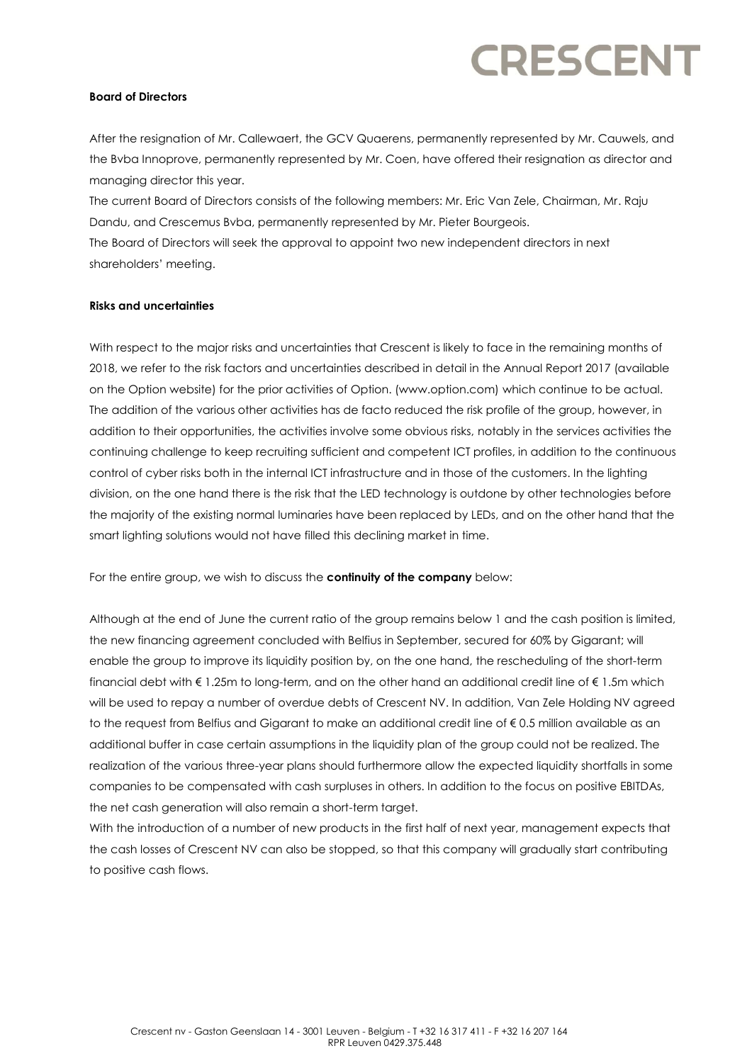### **Board of Directors**

After the resignation of Mr. Callewaert, the GCV Quaerens, permanently represented by Mr. Cauwels, and the Bvba Innoprove, permanently represented by Mr. Coen, have offered their resignation as director and managing director this year.

The current Board of Directors consists of the following members: Mr. Eric Van Zele, Chairman, Mr. Raju Dandu, and Crescemus Bvba, permanently represented by Mr. Pieter Bourgeois. The Board of Directors will seek the approval to appoint two new independent directors in next

shareholders' meeting.

### **Risks and uncertainties**

With respect to the major risks and uncertainties that Crescent is likely to face in the remaining months of 2018, we refer to the risk factors and uncertainties described in detail in the Annual Report 2017 (available on the Option website) for the prior activities of Option. (www.option.com) which continue to be actual. The addition of the various other activities has de facto reduced the risk profile of the group, however, in addition to their opportunities, the activities involve some obvious risks, notably in the services activities the continuing challenge to keep recruiting sufficient and competent ICT profiles, in addition to the continuous control of cyber risks both in the internal ICT infrastructure and in those of the customers. In the lighting division, on the one hand there is the risk that the LED technology is outdone by other technologies before the majority of the existing normal luminaries have been replaced by LEDs, and on the other hand that the smart lighting solutions would not have filled this declining market in time.

For the entire group, we wish to discuss the **continuity of the company** below:

Although at the end of June the current ratio of the group remains below 1 and the cash position is limited, the new financing agreement concluded with Belfius in September, secured for 60% by Gigarant; will enable the group to improve its liquidity position by, on the one hand, the rescheduling of the short-term financial debt with € 1.25m to long-term, and on the other hand an additional credit line of € 1.5m which will be used to repay a number of overdue debts of Crescent NV. In addition, Van Zele Holding NV agreed to the request from Belfius and Gigarant to make an additional credit line of € 0.5 million available as an additional buffer in case certain assumptions in the liquidity plan of the group could not be realized. The realization of the various three-year plans should furthermore allow the expected liquidity shortfalls in some companies to be compensated with cash surpluses in others. In addition to the focus on positive EBITDAs, the net cash generation will also remain a short-term target.

With the introduction of a number of new products in the first half of next year, management expects that the cash losses of Crescent NV can also be stopped, so that this company will gradually start contributing to positive cash flows.